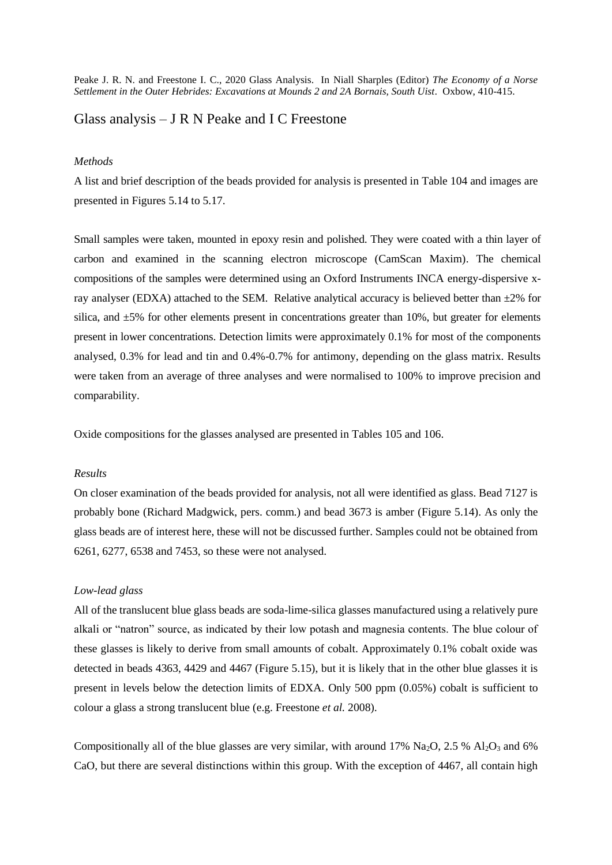Peake J. R. N. and Freestone I. C., 2020 Glass Analysis. In Niall Sharples (Editor) *The Economy of a Norse Settlement in the Outer Hebrides: Excavations at Mounds 2 and 2A Bornais, South Uist.* Oxbow, 410-415.

# Glass analysis  $-$  J R N Peake and I C Freestone

#### *Methods*

A list and brief description of the beads provided for analysis is presented in Table 104 and images are presented in Figures 5.14 to 5.17.

Small samples were taken, mounted in epoxy resin and polished. They were coated with a thin layer of carbon and examined in the scanning electron microscope (CamScan Maxim). The chemical compositions of the samples were determined using an Oxford Instruments INCA energy-dispersive xray analyser (EDXA) attached to the SEM. Relative analytical accuracy is believed better than  $\pm 2\%$  for silica, and ±5% for other elements present in concentrations greater than 10%, but greater for elements present in lower concentrations. Detection limits were approximately 0.1% for most of the components analysed, 0.3% for lead and tin and 0.4%-0.7% for antimony, depending on the glass matrix. Results were taken from an average of three analyses and were normalised to 100% to improve precision and comparability.

Oxide compositions for the glasses analysed are presented in Tables 105 and 106.

## *Results*

On closer examination of the beads provided for analysis, not all were identified as glass. Bead 7127 is probably bone (Richard Madgwick, pers. comm.) and bead 3673 is amber (Figure 5.14). As only the glass beads are of interest here, these will not be discussed further. Samples could not be obtained from 6261, 6277, 6538 and 7453, so these were not analysed.

## *Low-lead glass*

All of the translucent blue glass beads are soda-lime-silica glasses manufactured using a relatively pure alkali or "natron" source, as indicated by their low potash and magnesia contents. The blue colour of these glasses is likely to derive from small amounts of cobalt. Approximately 0.1% cobalt oxide was detected in beads 4363, 4429 and 4467 (Figure 5.15), but it is likely that in the other blue glasses it is present in levels below the detection limits of EDXA. Only 500 ppm (0.05%) cobalt is sufficient to colour a glass a strong translucent blue (e.g. Freestone *et al.* 2008).

Compositionally all of the blue glasses are very similar, with around 17% Na<sub>2</sub>O, 2.5 % Al<sub>2</sub>O<sub>3</sub> and 6% CaO, but there are several distinctions within this group. With the exception of 4467, all contain high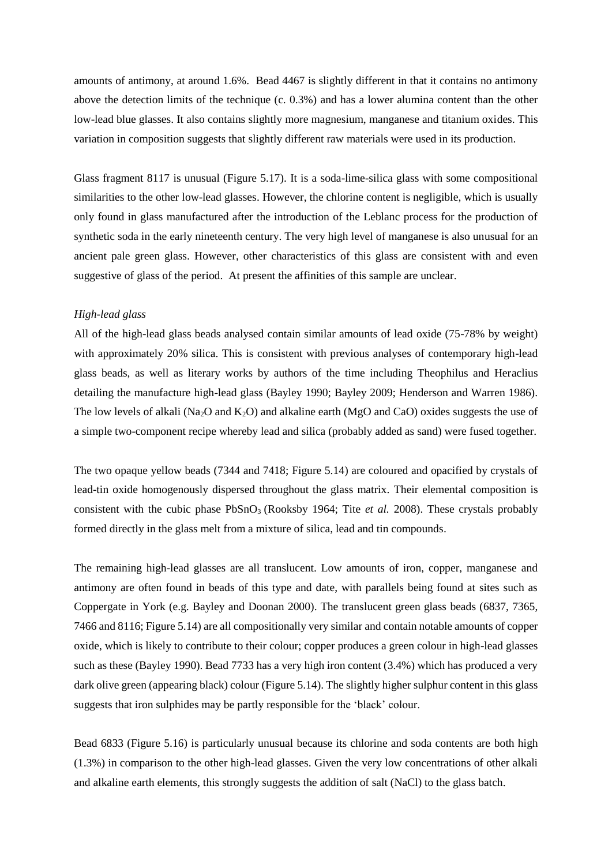amounts of antimony, at around 1.6%. Bead 4467 is slightly different in that it contains no antimony above the detection limits of the technique (c. 0.3%) and has a lower alumina content than the other low-lead blue glasses. It also contains slightly more magnesium, manganese and titanium oxides. This variation in composition suggests that slightly different raw materials were used in its production.

Glass fragment 8117 is unusual (Figure 5.17). It is a soda-lime-silica glass with some compositional similarities to the other low-lead glasses. However, the chlorine content is negligible, which is usually only found in glass manufactured after the introduction of the Leblanc process for the production of synthetic soda in the early nineteenth century. The very high level of manganese is also unusual for an ancient pale green glass. However, other characteristics of this glass are consistent with and even suggestive of glass of the period. At present the affinities of this sample are unclear.

# *High-lead glass*

All of the high-lead glass beads analysed contain similar amounts of lead oxide (75-78% by weight) with approximately 20% silica. This is consistent with previous analyses of contemporary high-lead glass beads, as well as literary works by authors of the time including Theophilus and Heraclius detailing the manufacture high-lead glass (Bayley 1990; Bayley 2009; Henderson and Warren 1986). The low levels of alkali (Na<sub>2</sub>O and K<sub>2</sub>O) and alkaline earth (M<sub>2</sub>O and CaO) oxides suggests the use of a simple two-component recipe whereby lead and silica (probably added as sand) were fused together.

The two opaque yellow beads (7344 and 7418; Figure 5.14) are coloured and opacified by crystals of lead-tin oxide homogenously dispersed throughout the glass matrix. Their elemental composition is consistent with the cubic phase PbSnO3 (Rooksby 1964; Tite *et al.* 2008). These crystals probably formed directly in the glass melt from a mixture of silica, lead and tin compounds.

The remaining high-lead glasses are all translucent. Low amounts of iron, copper, manganese and antimony are often found in beads of this type and date, with parallels being found at sites such as Coppergate in York (e.g. Bayley and Doonan 2000). The translucent green glass beads (6837, 7365, 7466 and 8116; Figure 5.14) are all compositionally very similar and contain notable amounts of copper oxide, which is likely to contribute to their colour; copper produces a green colour in high-lead glasses such as these (Bayley 1990). Bead 7733 has a very high iron content (3.4%) which has produced a very dark olive green (appearing black) colour (Figure 5.14). The slightly higher sulphur content in this glass suggests that iron sulphides may be partly responsible for the 'black' colour.

Bead 6833 (Figure 5.16) is particularly unusual because its chlorine and soda contents are both high (1.3%) in comparison to the other high-lead glasses. Given the very low concentrations of other alkali and alkaline earth elements, this strongly suggests the addition of salt (NaCl) to the glass batch.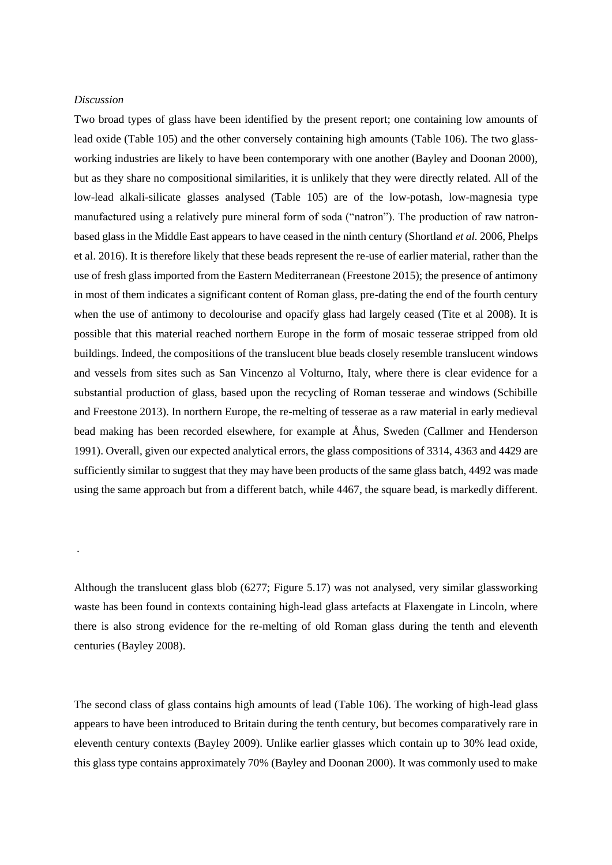#### *Discussion*

.

Two broad types of glass have been identified by the present report; one containing low amounts of lead oxide (Table 105) and the other conversely containing high amounts (Table 106). The two glassworking industries are likely to have been contemporary with one another (Bayley and Doonan 2000), but as they share no compositional similarities, it is unlikely that they were directly related. All of the low-lead alkali-silicate glasses analysed (Table 105) are of the low-potash, low-magnesia type manufactured using a relatively pure mineral form of soda ("natron"). The production of raw natronbased glass in the Middle East appears to have ceased in the ninth century (Shortland *et al.* 2006, Phelps et al. 2016). It is therefore likely that these beads represent the re-use of earlier material, rather than the use of fresh glass imported from the Eastern Mediterranean (Freestone 2015); the presence of antimony in most of them indicates a significant content of Roman glass, pre-dating the end of the fourth century when the use of antimony to decolourise and opacify glass had largely ceased (Tite et al 2008). It is possible that this material reached northern Europe in the form of mosaic tesserae stripped from old buildings. Indeed, the compositions of the translucent blue beads closely resemble translucent windows and vessels from sites such as San Vincenzo al Volturno, Italy, where there is clear evidence for a substantial production of glass, based upon the recycling of Roman tesserae and windows (Schibille and Freestone 2013). In northern Europe, the re-melting of tesserae as a raw material in early medieval bead making has been recorded elsewhere, for example at Åhus, Sweden (Callmer and Henderson 1991). Overall, given our expected analytical errors, the glass compositions of 3314, 4363 and 4429 are sufficiently similar to suggest that they may have been products of the same glass batch, 4492 was made using the same approach but from a different batch, while 4467, the square bead, is markedly different.

Although the translucent glass blob (6277; Figure 5.17) was not analysed, very similar glassworking waste has been found in contexts containing high-lead glass artefacts at Flaxengate in Lincoln, where there is also strong evidence for the re-melting of old Roman glass during the tenth and eleventh centuries (Bayley 2008).

The second class of glass contains high amounts of lead (Table 106). The working of high-lead glass appears to have been introduced to Britain during the tenth century, but becomes comparatively rare in eleventh century contexts (Bayley 2009). Unlike earlier glasses which contain up to 30% lead oxide, this glass type contains approximately 70% (Bayley and Doonan 2000). It was commonly used to make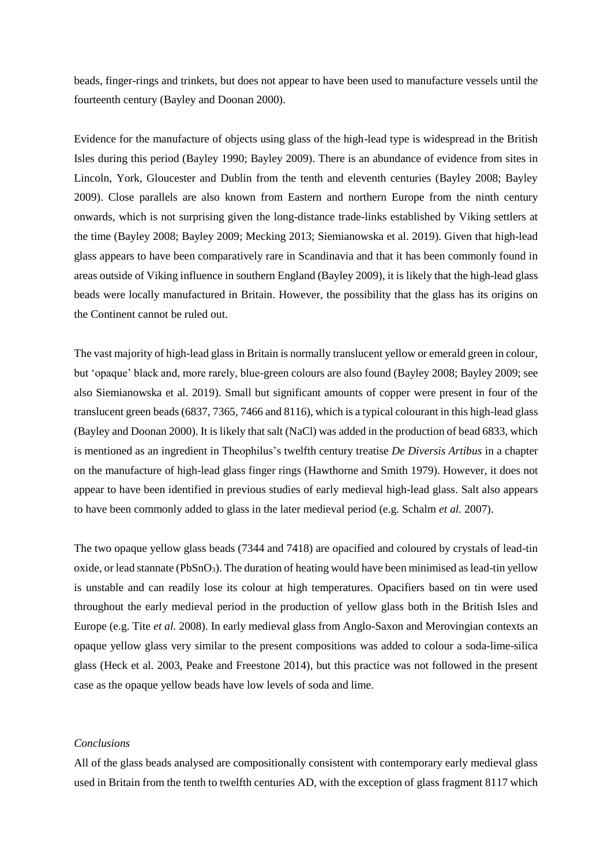beads, finger-rings and trinkets, but does not appear to have been used to manufacture vessels until the fourteenth century (Bayley and Doonan 2000).

Evidence for the manufacture of objects using glass of the high-lead type is widespread in the British Isles during this period (Bayley 1990; Bayley 2009). There is an abundance of evidence from sites in Lincoln, York, Gloucester and Dublin from the tenth and eleventh centuries (Bayley 2008; Bayley 2009). Close parallels are also known from Eastern and northern Europe from the ninth century onwards, which is not surprising given the long-distance trade-links established by Viking settlers at the time (Bayley 2008; Bayley 2009; Mecking 2013; Siemianowska et al. 2019). Given that high-lead glass appears to have been comparatively rare in Scandinavia and that it has been commonly found in areas outside of Viking influence in southern England (Bayley 2009), it is likely that the high-lead glass beads were locally manufactured in Britain. However, the possibility that the glass has its origins on the Continent cannot be ruled out.

The vast majority of high-lead glass in Britain is normally translucent yellow or emerald green in colour, but 'opaque' black and, more rarely, blue-green colours are also found (Bayley 2008; Bayley 2009; see also Siemianowska et al. 2019). Small but significant amounts of copper were present in four of the translucent green beads (6837, 7365, 7466 and 8116), which is a typical colourant in this high-lead glass (Bayley and Doonan 2000). It is likely that salt (NaCl) was added in the production of bead 6833, which is mentioned as an ingredient in Theophilus's twelfth century treatise *De Diversis Artibus* in a chapter on the manufacture of high-lead glass finger rings (Hawthorne and Smith 1979). However, it does not appear to have been identified in previous studies of early medieval high-lead glass. Salt also appears to have been commonly added to glass in the later medieval period (e.g. Schalm *et al.* 2007).

The two opaque yellow glass beads (7344 and 7418) are opacified and coloured by crystals of lead-tin oxide, or lead stannate ( $PbSnO<sub>3</sub>$ ). The duration of heating would have been minimised as lead-tin yellow is unstable and can readily lose its colour at high temperatures. Opacifiers based on tin were used throughout the early medieval period in the production of yellow glass both in the British Isles and Europe (e.g. Tite *et al.* 2008). In early medieval glass from Anglo-Saxon and Merovingian contexts an opaque yellow glass very similar to the present compositions was added to colour a soda-lime-silica glass (Heck et al. 2003, Peake and Freestone 2014), but this practice was not followed in the present case as the opaque yellow beads have low levels of soda and lime.

# *Conclusions*

All of the glass beads analysed are compositionally consistent with contemporary early medieval glass used in Britain from the tenth to twelfth centuries AD, with the exception of glass fragment 8117 which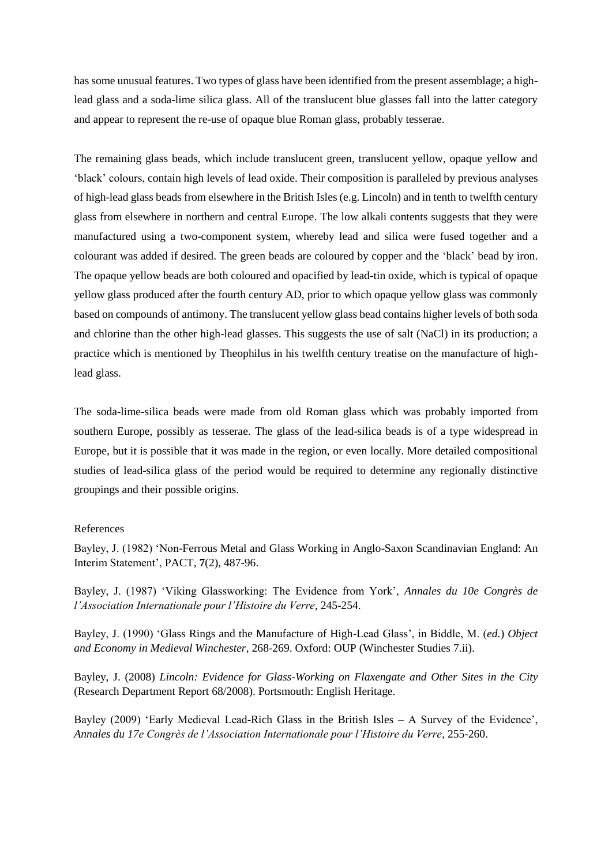has some unusual features. Two types of glass have been identified from the present assemblage; a highlead glass and a soda-lime silica glass. All of the translucent blue glasses fall into the latter category and appear to represent the re-use of opaque blue Roman glass, probably tesserae.

The remaining glass beads, which include translucent green, translucent yellow, opaque yellow and 'black' colours, contain high levels of lead oxide. Their composition is paralleled by previous analyses of high-lead glass beads from elsewhere in the British Isles (e.g. Lincoln) and in tenth to twelfth century glass from elsewhere in northern and central Europe. The low alkali contents suggests that they were manufactured using a two-component system, whereby lead and silica were fused together and a colourant was added if desired. The green beads are coloured by copper and the 'black' bead by iron. The opaque yellow beads are both coloured and opacified by lead-tin oxide, which is typical of opaque yellow glass produced after the fourth century AD, prior to which opaque yellow glass was commonly based on compounds of antimony. The translucent yellow glass bead contains higher levels of both soda and chlorine than the other high-lead glasses. This suggests the use of salt (NaCl) in its production; a practice which is mentioned by Theophilus in his twelfth century treatise on the manufacture of highlead glass.

The soda-lime-silica beads were made from old Roman glass which was probably imported from southern Europe, possibly as tesserae. The glass of the lead-silica beads is of a type widespread in Europe, but it is possible that it was made in the region, or even locally. More detailed compositional studies of lead-silica glass of the period would be required to determine any regionally distinctive groupings and their possible origins.

## References

Bayley, J. (1982) 'Non-Ferrous Metal and Glass Working in Anglo-Saxon Scandinavian England: An Interim Statement', PACT, **7**(2), 487-96.

Bayley, J. (1987) 'Viking Glassworking: The Evidence from York', *Annales du 10e Congrès de l'Association Internationale pour l'Histoire du Verre*, 245-254.

Bayley, J. (1990) 'Glass Rings and the Manufacture of High-Lead Glass', in Biddle, M. (*ed.*) *Object and Economy in Medieval Winchester*, 268-269. Oxford: OUP (Winchester Studies 7.ii).

Bayley, J. (2008) *Lincoln: Evidence for Glass-Working on Flaxengate and Other Sites in the City* (Research Department Report 68/2008). Portsmouth: English Heritage.

Bayley (2009) 'Early Medieval Lead-Rich Glass in the British Isles – A Survey of the Evidence', *Annales du 17e Congrès de l'Association Internationale pour l'Histoire du Verre*, 255-260.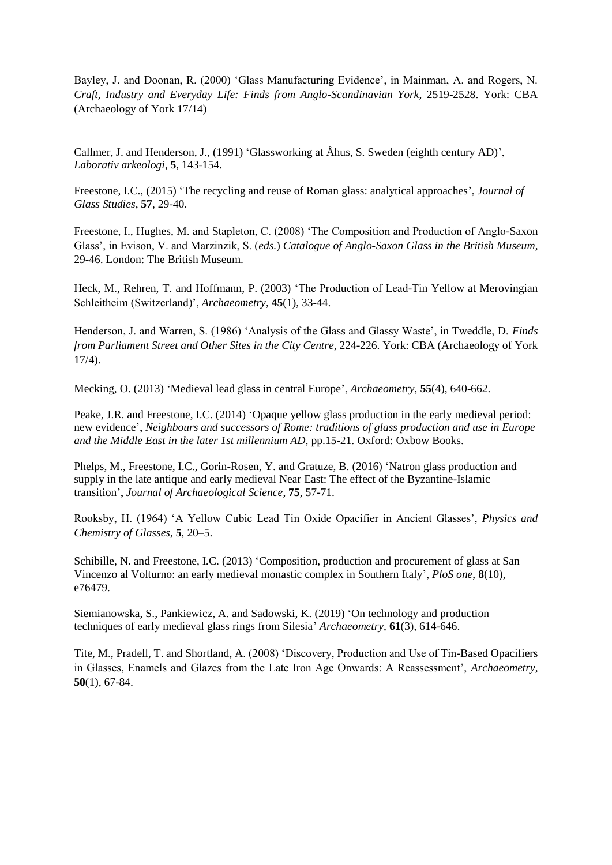Bayley, J. and Doonan, R. (2000) 'Glass Manufacturing Evidence', in Mainman, A. and Rogers, N. *Craft, Industry and Everyday Life: Finds from Anglo-Scandinavian York*, 2519-2528. York: CBA (Archaeology of York 17/14)

Callmer, J. and Henderson, J., (1991) 'Glassworking at Åhus, S. Sweden (eighth century AD)', *Laborativ arkeologi*, **5**, 143-154.

Freestone, I.C., (2015) 'The recycling and reuse of Roman glass: analytical approaches', *Journal of Glass Studies*, **57**, 29-40.

Freestone, I., Hughes, M. and Stapleton, C. (2008) 'The Composition and Production of Anglo-Saxon Glass', in Evison, V. and Marzinzik, S. (*eds.*) *Catalogue of Anglo-Saxon Glass in the British Museum*, 29-46. London: The British Museum.

Heck, M., Rehren, T. and Hoffmann, P. (2003) 'The Production of Lead-Tin Yellow at Merovingian Schleitheim (Switzerland)', *Archaeometry*, **45**(1), 33-44.

Henderson, J. and Warren, S. (1986) 'Analysis of the Glass and Glassy Waste', in Tweddle, D. *Finds from Parliament Street and Other Sites in the City Centre*, 224-226. York: CBA (Archaeology of York 17/4).

Mecking, O. (2013) 'Medieval lead glass in central Europe', *Archaeometry*, **55**(4), 640-662.

Peake, J.R. and Freestone, I.C. (2014) 'Opaque yellow glass production in the early medieval period: new evidence', *Neighbours and successors of Rome: traditions of glass production and use in Europe and the Middle East in the later 1st millennium AD*, pp.15-21. Oxford: Oxbow Books.

Phelps, M., Freestone, I.C., Gorin-Rosen, Y. and Gratuze, B. (2016) 'Natron glass production and supply in the late antique and early medieval Near East: The effect of the Byzantine-Islamic transition', *Journal of Archaeological Science*, **75**, 57-71.

Rooksby, H. (1964) 'A Yellow Cubic Lead Tin Oxide Opacifier in Ancient Glasses', *Physics and Chemistry of Glasses*, **5**, 20–5.

Schibille, N. and Freestone, I.C. (2013) 'Composition, production and procurement of glass at San Vincenzo al Volturno: an early medieval monastic complex in Southern Italy', *PloS one*, **8**(10), e76479.

Siemianowska, S., Pankiewicz, A. and Sadowski, K. (2019) 'On technology and production techniques of early medieval glass rings from Silesia' *Archaeometry*, **61**(3), 614-646.

Tite, M., Pradell, T. and Shortland, A. (2008) 'Discovery, Production and Use of Tin-Based Opacifiers in Glasses, Enamels and Glazes from the Late Iron Age Onwards: A Reassessment', *Archaeometry*, **50**(1), 67-84.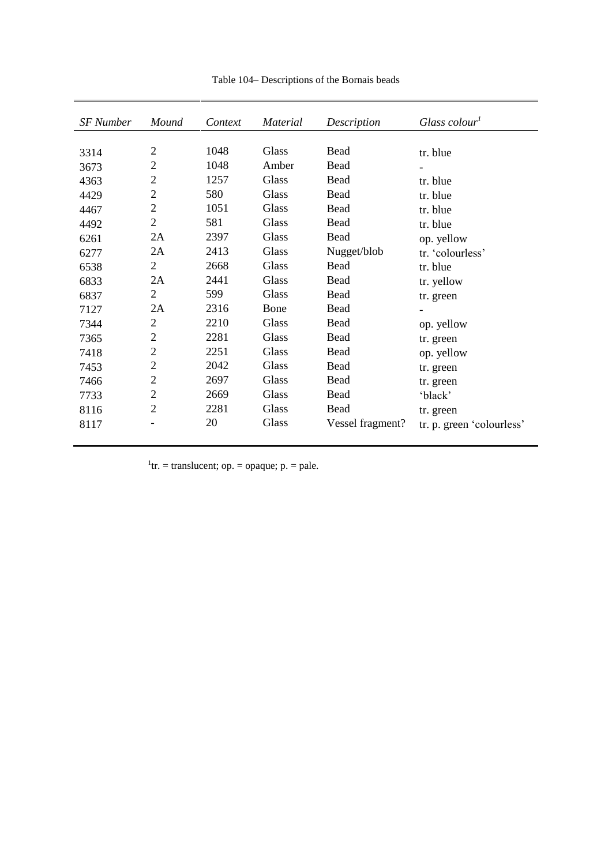| <b>SF</b> Number | Mound<br>Context |      | <b>Material</b> | Description      | Glass colour <sup>1</sup> |  |  |
|------------------|------------------|------|-----------------|------------------|---------------------------|--|--|
|                  |                  |      |                 |                  |                           |  |  |
| 3314             | $\overline{2}$   | 1048 | Glass           | Bead             | tr. blue                  |  |  |
| 3673             | $\overline{2}$   | 1048 | Amber           | Bead             |                           |  |  |
| 4363             | $\overline{c}$   | 1257 | Glass           | Bead             | tr. blue                  |  |  |
| 4429             | $\overline{2}$   | 580  | Glass           | Bead             | tr. blue                  |  |  |
| 4467             | $\overline{2}$   | 1051 | Glass           | Bead             | tr. blue                  |  |  |
| 4492             | $\overline{2}$   | 581  | Glass           | Bead             | tr. blue                  |  |  |
| 6261             | 2A               | 2397 | Glass           | Bead             | op. yellow                |  |  |
| 6277             | 2A               | 2413 | Glass           | Nugget/blob      | tr. 'colourless'          |  |  |
| 6538             | $\overline{2}$   | 2668 | Glass           | Bead             | tr. blue                  |  |  |
| 6833             | 2A               | 2441 | Glass           | Bead             | tr. yellow                |  |  |
| 6837             | $\overline{2}$   | 599  | Glass           | Bead             | tr. green                 |  |  |
| 7127             | 2A               | 2316 | Bone            | Bead             |                           |  |  |
| 7344             | $\overline{2}$   | 2210 | Glass           | Bead             | op. yellow                |  |  |
| 7365             | $\overline{2}$   | 2281 | Glass           | Bead             | tr. green                 |  |  |
| 7418             | $\overline{2}$   | 2251 | Glass           | Bead             | op. yellow                |  |  |
| 7453             | $\overline{2}$   | 2042 | Glass           | Bead             | tr. green                 |  |  |
| 7466             | $\overline{2}$   | 2697 | Glass           | Bead             | tr. green                 |  |  |
| 7733             | $\overline{2}$   | 2669 | Glass           | Bead             | 'black'                   |  |  |
| 8116             | $\overline{2}$   | 2281 | Glass           | Bead             | tr. green                 |  |  |
| 8117             |                  | 20   | Glass           | Vessel fragment? | tr. p. green 'colourless' |  |  |

Table 104– Descriptions of the Bornais beads

<sup>1</sup>tr. = translucent; op. = opaque; p. = pale.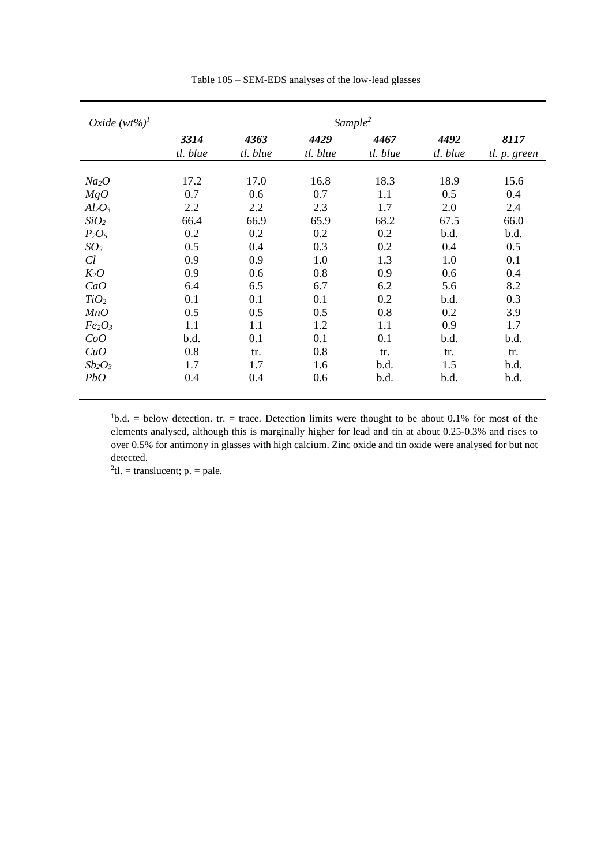| Oxide $(wt\%)^1$               | Sample <sup>2</sup> |          |          |          |          |              |  |  |  |
|--------------------------------|---------------------|----------|----------|----------|----------|--------------|--|--|--|
|                                | 3314                | 4363     | 4429     | 4467     | 4492     | 8117         |  |  |  |
|                                | tl. blue            | tl. blue | tl. blue | tl. blue | tl. blue | tl. p. green |  |  |  |
|                                |                     |          |          |          |          |              |  |  |  |
| Na <sub>2</sub> O              | 17.2                | 17.0     | 16.8     | 18.3     | 18.9     | 15.6         |  |  |  |
| MgO                            | 0.7                 | 0.6      | 0.7      | 1.1      | 0.5      | 0.4          |  |  |  |
| $Al_2O_3$                      | 2.2                 | 2.2      | 2.3      | 1.7      | 2.0      | 2.4          |  |  |  |
| SiO <sub>2</sub>               | 66.4                | 66.9     | 65.9     | 68.2     | 67.5     | 66.0         |  |  |  |
| $P_2O_5$                       | 0.2                 | 0.2      | 0.2      | 0.2      | b.d.     | b.d.         |  |  |  |
| $SO_3$                         | 0.5                 | 0.4      | 0.3      | 0.2      | 0.4      | 0.5          |  |  |  |
| Cl                             | 0.9                 | 0.9      | 1.0      | 1.3      | 1.0      | 0.1          |  |  |  |
| $K_2O$                         | 0.9                 | 0.6      | 0.8      | 0.9      | 0.6      | 0.4          |  |  |  |
| CaO                            | 6.4                 | 6.5      | 6.7      | 6.2      | 5.6      | 8.2          |  |  |  |
| TiO <sub>2</sub>               | 0.1                 | 0.1      | 0.1      | 0.2      | b.d.     | 0.3          |  |  |  |
| MnO                            | 0.5                 | 0.5      | 0.5      | 0.8      | 0.2      | 3.9          |  |  |  |
| Fe <sub>2</sub> O <sub>3</sub> | 1.1                 | 1.1      | 1.2      | 1.1      | 0.9      | 1.7          |  |  |  |
| CoO                            | b.d.                | 0.1      | 0.1      | 0.1      | b.d.     | b.d.         |  |  |  |
| CuO                            | 0.8                 | tr.      | 0.8      | tr.      | tr.      | tr.          |  |  |  |
| $Sb_2O_3$                      | 1.7                 | 1.7      | 1.6      | b.d.     | 1.5      | b.d.         |  |  |  |
| <b>PbO</b>                     | 0.4                 | 0.4      | 0.6      | b.d.     | b.d.     | b.d.         |  |  |  |

Table 105 – SEM-EDS analyses of the low-lead glasses

 $1<sup>1</sup>b.d. =$  below detection. tr. = trace. Detection limits were thought to be about 0.1% for most of the elements analysed, although this is marginally higher for lead and tin at about 0.25-0.3% and rises to over 0.5% for antimony in glasses with high calcium. Zinc oxide and tin oxide were analysed for but not detected.

 $2$ tl. = translucent; p. = pale.